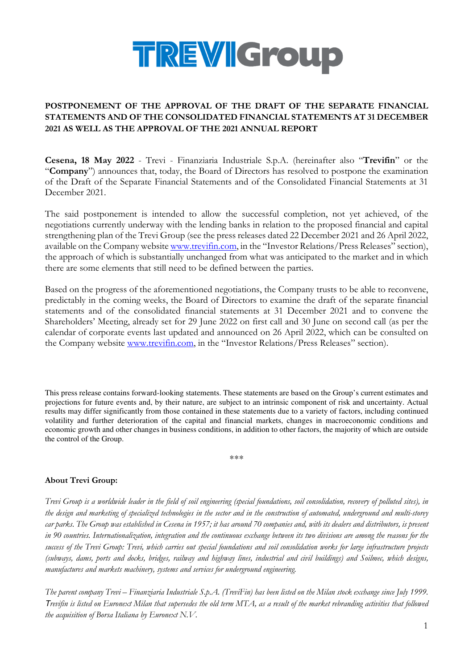

## **POSTPONEMENT OF THE APPROVAL OF THE DRAFT OF THE SEPARATE FINANCIAL STATEMENTS AND OF THE CONSOLIDATED FINANCIAL STATEMENTS AT 31 DECEMBER 2021 AS WELL AS THE APPROVAL OF THE 2021 ANNUAL REPORT**

**Cesena, 18 May 2022** - Trevi - Finanziaria Industriale S.p.A. (hereinafter also "**Trevifin**" or the "**Company**") announces that, today, the Board of Directors has resolved to postpone the examination of the Draft of the Separate Financial Statements and of the Consolidated Financial Statements at 31 December 2021.

The said postponement is intended to allow the successful completion, not yet achieved, of the negotiations currently underway with the lending banks in relation to the proposed financial and capital strengthening plan of the Trevi Group (see the press releases dated 22 December 2021 and 26 April 2022, available on the Company website www.trevifin.com, in the "Investor Relations/Press Releases" section), the approach of which is substantially unchanged from what was anticipated to the market and in which there are some elements that still need to be defined between the parties.

Based on the progress of the aforementioned negotiations, the Company trusts to be able to reconvene, predictably in the coming weeks, the Board of Directors to examine the draft of the separate financial statements and of the consolidated financial statements at 31 December 2021 and to convene the Shareholders' Meeting, already set for 29 June 2022 on first call and 30 June on second call (as per the calendar of corporate events last updated and announced on 26 April 2022, which can be consulted on the Company website www.trevifin.com, in the "Investor Relations/Press Releases" section).

This press release contains forward-looking statements. These statements are based on the Group's current estimates and projections for future events and, by their nature, are subject to an intrinsic component of risk and uncertainty. Actual results may differ significantly from those contained in these statements due to a variety of factors, including continued volatility and further deterioration of the capital and financial markets, changes in macroeconomic conditions and economic growth and other changes in business conditions, in addition to other factors, the majority of which are outside the control of the Group.

\*\*\*

## **About Trevi Group:**

*Trevi Group is a worldwide leader in the field of soil engineering (special foundations, soil consolidation, recovery of polluted sites), in the design and marketing of specialized technologies in the sector and in the construction of automated, underground and multi-storey car parks. The Group was established in Cesena in 1957; it has around 70 companies and, with its dealers and distributors, is present in 90 countries. Internationalization, integration and the continuous exchange between its two divisions are among the reasons for the success of the Trevi Group: Trevi, which carries out special foundations and soil consolidation works for large infrastructure projects (subways, dams, ports and docks, bridges, railway and highway lines, industrial and civil buildings) and Soilmec, which designs, manufactures and markets machinery, systems and services for underground engineering.* 

*The parent company Trevi – Finanziaria Industriale S.p.A. (TreviFin) has been listed on the Milan stock exchange since July 1999.* T*revifin is listed on Euronext Milan that supersedes the old term MTA, as a result of the market rebranding activities that followed the acquisition of Borsa Italiana by Euronext N.V.*